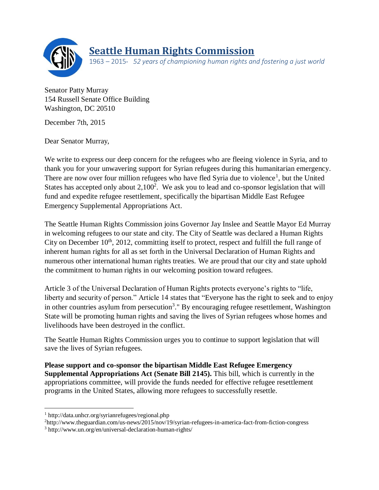

## **Seattle Human Rights Commission**

1963 – 2015· *52 years of championing human rights and fostering a just world*

Senator Patty Murray 154 Russell Senate Office Building Washington, DC 20510

December 7th, 2015

Dear Senator Murray,

We write to express our deep concern for the refugees who are fleeing violence in Syria, and to thank you for your unwavering support for Syrian refugees during this humanitarian emergency. There are now over four million refugees who have fled Syria due to violence<sup>1</sup>, but the United States has accepted only about  $2,100^2$ . We ask you to lead and co-sponsor legislation that will fund and expedite refugee resettlement, specifically the bipartisan Middle East Refugee Emergency Supplemental Appropriations Act.

The Seattle Human Rights Commission joins Governor Jay Inslee and Seattle Mayor Ed Murray in welcoming refugees to our state and city. The City of Seattle was declared a Human Rights City on December  $10<sup>th</sup>$ , 2012, committing itself to protect, respect and fulfill the full range of inherent human rights for all as set forth in the Universal Declaration of Human Rights and numerous other international human rights treaties. We are proud that our city and state uphold the commitment to human rights in our welcoming position toward refugees.

Article 3 of the Universal Declaration of Human Rights protects everyone's rights to "life, liberty and security of person." Article 14 states that "Everyone has the right to seek and to enjoy in other countries asylum from persecution<sup>3</sup>." By encouraging refugee resettlement, Washington State will be promoting human rights and saving the lives of Syrian refugees whose homes and livelihoods have been destroyed in the conflict.

The Seattle Human Rights Commission urges you to continue to support legislation that will save the lives of Syrian refugees.

**Please support and co-sponsor the bipartisan Middle East Refugee Emergency Supplemental Appropriations Act (Senate Bill 2145).** This bill, which is currently in the appropriations committee, will provide the funds needed for effective refugee resettlement programs in the United States, allowing more refugees to successfully resettle.

 $\overline{\phantom{a}}$ 

<sup>2</sup>http://www.theguardian.com/us-news/2015/nov/19/syrian-refugees-in-america-fact-from-fiction-congress

<sup>1</sup> http://data.unhcr.org/syrianrefugees/regional.php

<sup>3</sup> http://www.un.org/en/universal-declaration-human-rights/